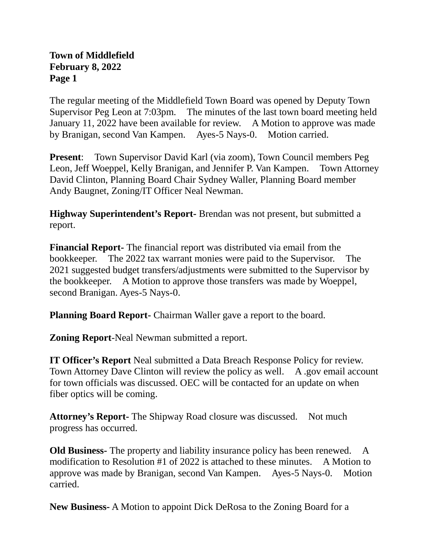## **Town of Middlefield February 8, 2022 Page 1**

The regular meeting of the Middlefield Town Board was opened by Deputy Town Supervisor Peg Leon at 7:03pm. The minutes of the last town board meeting held January 11, 2022 have been available for review. A Motion to approve was made by Branigan, second Van Kampen. Ayes-5 Nays-0. Motion carried.

**Present:** Town Supervisor David Karl (via zoom), Town Council members Peg Leon, Jeff Woeppel, Kelly Branigan, and Jennifer P. Van Kampen. Town Attorney David Clinton, Planning Board Chair Sydney Waller, Planning Board member Andy Baugnet, Zoning/IT Officer Neal Newman.

**Highway Superintendent's Report-** Brendan was not present, but submitted a report.

**Financial Report-** The financial report was distributed via email from the bookkeeper. The 2022 tax warrant monies were paid to the Supervisor. The 2021 suggested budget transfers/adjustments were submitted to the Supervisor by the bookkeeper. A Motion to approve those transfers was made by Woeppel, second Branigan. Ayes-5 Nays-0.

**Planning Board Report-** Chairman Waller gave a report to the board.

**Zoning Report**-Neal Newman submitted a report.

**IT Officer's Report** Neal submitted a Data Breach Response Policy for review. Town Attorney Dave Clinton will review the policy as well. A .gov email account for town officials was discussed. OEC will be contacted for an update on when fiber optics will be coming.

**Attorney's Report-** The Shipway Road closure was discussed. Not much progress has occurred.

**Old Business-** The property and liability insurance policy has been renewed. A modification to Resolution #1 of 2022 is attached to these minutes. A Motion to approve was made by Branigan, second Van Kampen. Ayes-5 Nays-0. Motion carried.

**New Business-** A Motion to appoint Dick DeRosa to the Zoning Board for a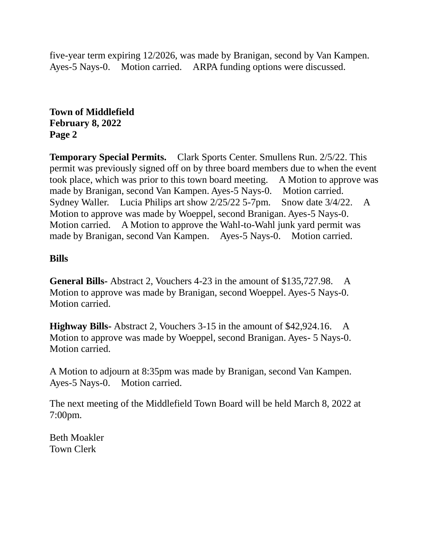five-year term expiring 12/2026, was made by Branigan, second by Van Kampen. Ayes-5 Nays-0. Motion carried. ARPA funding options were discussed.

**Town of Middlefield February 8, 2022 Page 2**

**Temporary Special Permits.** Clark Sports Center. Smullens Run. 2/5/22. This permit was previously signed off on by three board members due to when the event took place, which was prior to this town board meeting. A Motion to approve was made by Branigan, second Van Kampen. Ayes-5 Nays-0. Motion carried. Sydney Waller. Lucia Philips art show 2/25/22 5-7pm. Snow date 3/4/22. A Motion to approve was made by Woeppel, second Branigan. Ayes-5 Nays-0. Motion carried. A Motion to approve the Wahl-to-Wahl junk yard permit was made by Branigan, second Van Kampen. Ayes-5 Nays-0. Motion carried.

## **Bills**

**General Bills-** Abstract 2, Vouchers 4-23 in the amount of \$135,727.98. A Motion to approve was made by Branigan, second Woeppel. Ayes-5 Nays-0. Motion carried.

**Highway Bills-** Abstract 2, Vouchers 3-15 in the amount of \$42,924.16. A Motion to approve was made by Woeppel, second Branigan. Ayes- 5 Nays-0. Motion carried.

A Motion to adjourn at 8:35pm was made by Branigan, second Van Kampen. Ayes-5 Nays-0. Motion carried.

The next meeting of the Middlefield Town Board will be held March 8, 2022 at 7:00pm.

Beth Moakler Town Clerk